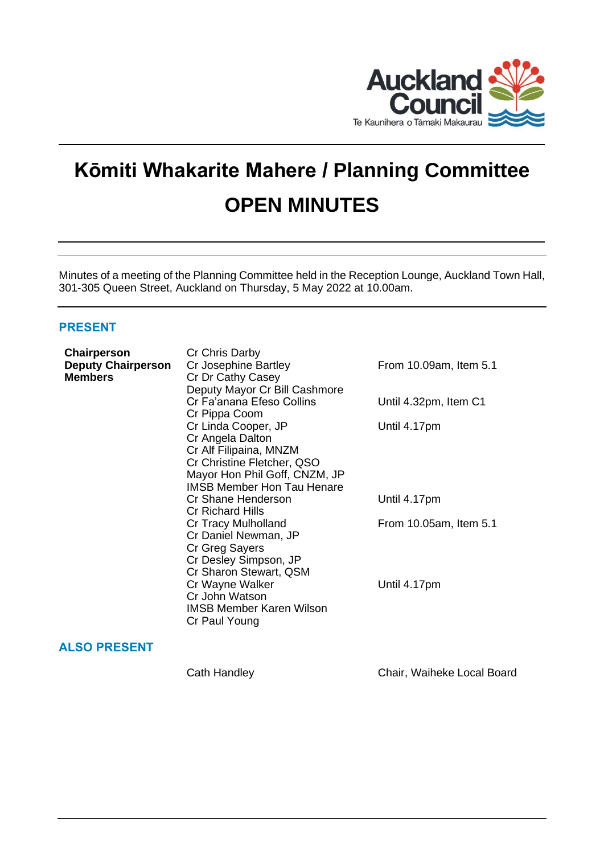

# **Kōmiti Whakarite Mahere / Planning Committee OPEN MINUTES**

Minutes of a meeting of the Planning Committee held in the Reception Lounge, Auckland Town Hall, 301-305 Queen Street, Auckland on Thursday, 5 May 2022 at 10.00am.

# **PRESENT**

| Chairperson               | Cr Chris Darby                    |                        |
|---------------------------|-----------------------------------|------------------------|
| <b>Deputy Chairperson</b> | Cr Josephine Bartley              | From 10.09am, Item 5.1 |
| <b>Members</b>            | Cr Dr Cathy Casey                 |                        |
|                           | Deputy Mayor Cr Bill Cashmore     |                        |
|                           | Cr Fa'anana Efeso Collins         | Until 4.32pm, Item C1  |
|                           | Cr Pippa Coom                     |                        |
|                           | Cr Linda Cooper, JP               | Until 4.17pm           |
|                           | Cr Angela Dalton                  |                        |
|                           | Cr Alf Filipaina, MNZM            |                        |
|                           | Cr Christine Fletcher, QSO        |                        |
|                           | Mayor Hon Phil Goff, CNZM, JP     |                        |
|                           | <b>IMSB Member Hon Tau Henare</b> |                        |
|                           | Cr Shane Henderson                | Until 4.17pm           |
|                           | <b>Cr Richard Hills</b>           |                        |
|                           | Cr Tracy Mulholland               | From 10.05am, Item 5.1 |
|                           | Cr Daniel Newman, JP              |                        |
|                           | Cr Greg Sayers                    |                        |
|                           | Cr Desley Simpson, JP             |                        |
|                           | Cr Sharon Stewart, QSM            |                        |
|                           | Cr Wayne Walker                   | Until 4.17pm           |
|                           | Cr John Watson                    |                        |
|                           | <b>IMSB Member Karen Wilson</b>   |                        |
|                           | Cr Paul Young                     |                        |
|                           |                                   |                        |

# **ALSO PRESENT**

Cath Handley Chair, Waiheke Local Board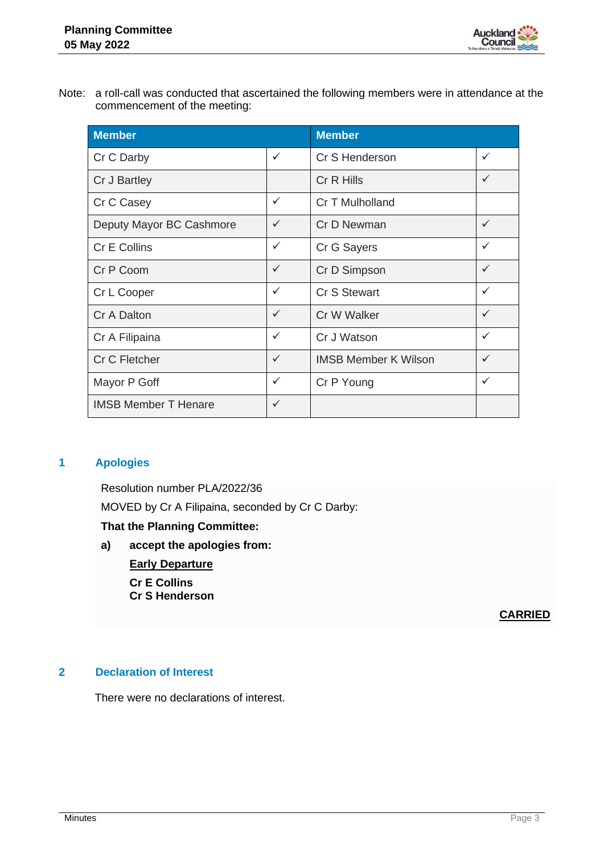

Note: a roll-call was conducted that ascertained the following members were in attendance at the commencement of the meeting:

| <b>Member</b>               |              | <b>Member</b>               |   |
|-----------------------------|--------------|-----------------------------|---|
| Cr C Darby                  | $\checkmark$ | Cr S Henderson              | ✓ |
| Cr J Bartley                |              | Cr R Hills                  | ✓ |
| Cr C Casey                  | $\checkmark$ | Cr T Mulholland             |   |
| Deputy Mayor BC Cashmore    | $\checkmark$ | Cr D Newman                 | ✓ |
| Cr E Collins                | $\checkmark$ | Cr G Sayers                 | ✓ |
| Cr P Coom                   | $\checkmark$ | Cr D Simpson                | ✓ |
| Cr L Cooper                 | $\checkmark$ | Cr S Stewart                | ✓ |
| Cr A Dalton                 | $\checkmark$ | Cr W Walker                 | ✓ |
| Cr A Filipaina              | $\checkmark$ | Cr J Watson                 | ✓ |
| Cr C Fletcher               | $\checkmark$ | <b>IMSB Member K Wilson</b> | ✓ |
| Mayor P Goff                | $\checkmark$ | Cr P Young                  | ✓ |
| <b>IMSB Member T Henare</b> | $\checkmark$ |                             |   |

# **1 Apologies**

Resolution number PLA/2022/36 MOVED by Cr A Filipaina, seconded by Cr C Darby:

# **That the Planning Committee:**

**a) accept the apologies from: Early Departure**

> **Cr E Collins Cr S Henderson**

> > **CARRIED**

# **2 Declaration of Interest**

There were no declarations of interest.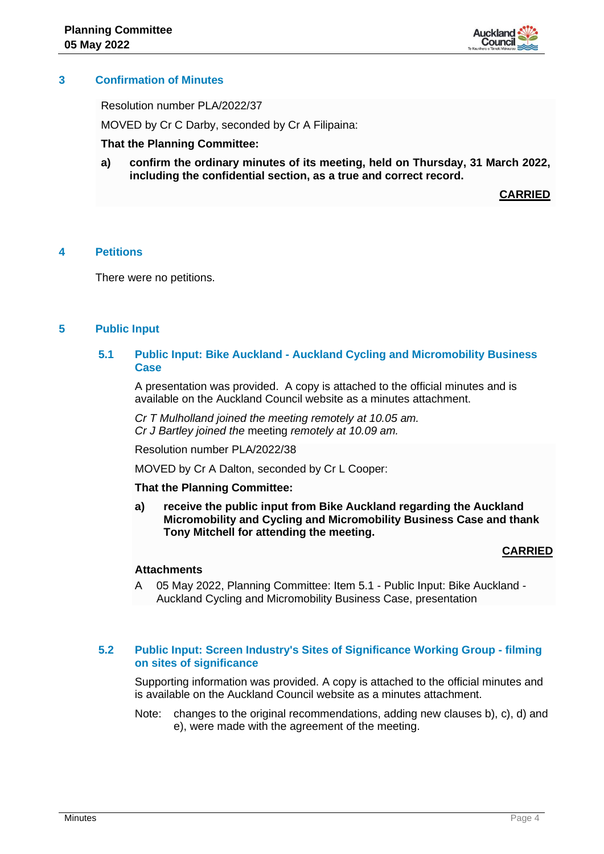

# **3 Confirmation of Minutes**

Resolution number PLA/2022/37

MOVED by Cr C Darby, seconded by Cr A Filipaina:

## **That the Planning Committee:**

**a) confirm the ordinary minutes of its meeting, held on Thursday, 31 March 2022, including the confidential section, as a true and correct record.**

**CARRIED**

# **4 Petitions**

There were no petitions.

# **5 Public Input**

# **5.1 Public Input: Bike Auckland - Auckland Cycling and Micromobility Business Case**

A presentation was provided. A copy is attached to the official minutes and is available on the Auckland Council website as a minutes attachment.

*Cr T Mulholland joined the meeting remotely at 10.05 am. Cr J Bartley joined the* meeting *remotely at 10.09 am.*

Resolution number PLA/2022/38

MOVED by Cr A Dalton, seconded by Cr L Cooper:

#### **That the Planning Committee:**

**a) receive the public input from Bike Auckland regarding the Auckland Micromobility and Cycling and Micromobility Business Case and thank Tony Mitchell for attending the meeting.** 

#### **CARRIED**

#### **Attachments**

A 05 May 2022, Planning Committee: Item 5.1 - Public Input: Bike Auckland - Auckland Cycling and Micromobility Business Case, presentation

## **5.2 Public Input: Screen Industry's Sites of Significance Working Group - filming on sites of significance**

Supporting information was provided. A copy is attached to the official minutes and is available on the Auckland Council website as a minutes attachment.

Note: changes to the original recommendations, adding new clauses b), c), d) and e), were made with the agreement of the meeting.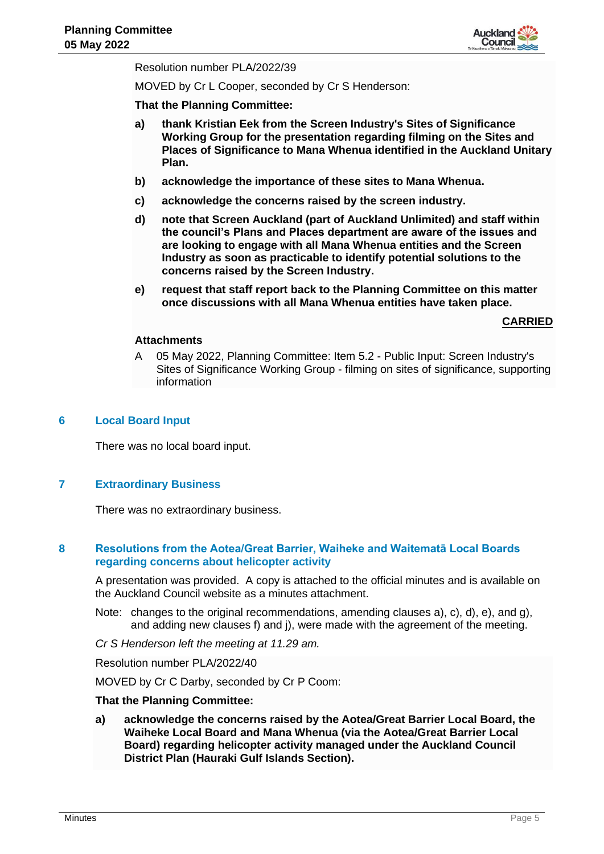

Resolution number PLA/2022/39

MOVED by Cr L Cooper, seconded by Cr S Henderson:

**That the Planning Committee:**

- **a) thank Kristian Eek from the Screen Industry's Sites of Significance Working Group for the presentation regarding filming on the Sites and Places of Significance to Mana Whenua identified in the Auckland Unitary Plan.**
- **b) acknowledge the importance of these sites to Mana Whenua.**
- **c) acknowledge the concerns raised by the screen industry.**
- **d) note that Screen Auckland (part of Auckland Unlimited) and staff within the council's Plans and Places department are aware of the issues and are looking to engage with all Mana Whenua entities and the Screen Industry as soon as practicable to identify potential solutions to the concerns raised by the Screen Industry.**
- **e) request that staff report back to the Planning Committee on this matter once discussions with all Mana Whenua entities have taken place.**

**CARRIED**

#### **Attachments**

A 05 May 2022, Planning Committee: Item 5.2 - Public Input: Screen Industry's Sites of Significance Working Group - filming on sites of significance, supporting information

#### **6 Local Board Input**

There was no local board input.

# **7 Extraordinary Business**

There was no extraordinary business.

## **8 Resolutions from the Aotea/Great Barrier, Waiheke and Waitematā Local Boards regarding concerns about helicopter activity**

A presentation was provided. A copy is attached to the official minutes and is available on the Auckland Council website as a minutes attachment.

Note: changes to the original recommendations, amending clauses a), c), d), e), and g), and adding new clauses f) and j), were made with the agreement of the meeting.

*Cr S Henderson left the meeting at 11.29 am.*

Resolution number PLA/2022/40

MOVED by Cr C Darby, seconded by Cr P Coom:

## **That the Planning Committee:**

**a) acknowledge the concerns raised by the Aotea/Great Barrier Local Board, the Waiheke Local Board and Mana Whenua (via the Aotea/Great Barrier Local Board) regarding helicopter activity managed under the Auckland Council District Plan (Hauraki Gulf Islands Section).**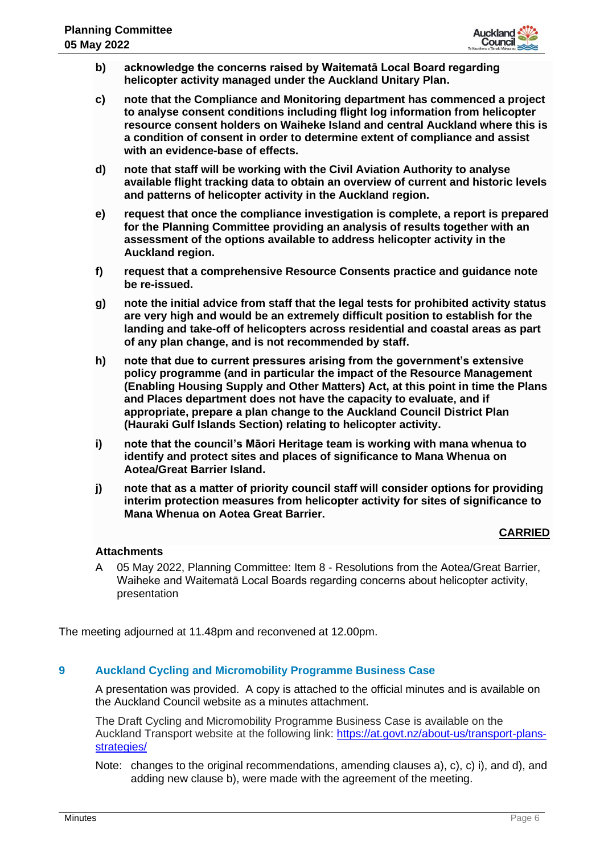

- **b) acknowledge the concerns raised by Waitematā Local Board regarding helicopter activity managed under the Auckland Unitary Plan.**
- **c) note that the Compliance and Monitoring department has commenced a project to analyse consent conditions including flight log information from helicopter resource consent holders on Waiheke Island and central Auckland where this is a condition of consent in order to determine extent of compliance and assist with an evidence-base of effects.**
- **d) note that staff will be working with the Civil Aviation Authority to analyse available flight tracking data to obtain an overview of current and historic levels and patterns of helicopter activity in the Auckland region.**
- **e) request that once the compliance investigation is complete, a report is prepared for the Planning Committee providing an analysis of results together with an assessment of the options available to address helicopter activity in the Auckland region.**
- **f) request that a comprehensive Resource Consents practice and guidance note be re-issued.**
- **g) note the initial advice from staff that the legal tests for prohibited activity status are very high and would be an extremely difficult position to establish for the landing and take-off of helicopters across residential and coastal areas as part of any plan change, and is not recommended by staff.**
- **h) note that due to current pressures arising from the government's extensive policy programme (and in particular the impact of the Resource Management (Enabling Housing Supply and Other Matters) Act, at this point in time the Plans and Places department does not have the capacity to evaluate, and if appropriate, prepare a plan change to the Auckland Council District Plan (Hauraki Gulf Islands Section) relating to helicopter activity.**
- **i) note that the council's Māori Heritage team is working with mana whenua to identify and protect sites and places of significance to Mana Whenua on Aotea/Great Barrier Island.**
- **j) note that as a matter of priority council staff will consider options for providing interim protection measures from helicopter activity for sites of significance to Mana Whenua on Aotea Great Barrier.**

# **CARRIED**

# **Attachments**

A 05 May 2022, Planning Committee: Item 8 - Resolutions from the Aotea/Great Barrier, Waiheke and Waitematā Local Boards regarding concerns about helicopter activity, presentation

The meeting adjourned at 11.48pm and reconvened at 12.00pm.

# **9 Auckland Cycling and Micromobility Programme Business Case**

A presentation was provided. A copy is attached to the official minutes and is available on the Auckland Council website as a minutes attachment.

The Draft Cycling and Micromobility Programme Business Case is available on the Auckland Transport website at the following link: [https://at.govt.nz/about-us/transport-plans](https://at.govt.nz/about-us/transport-plans-strategies/)[strategies/](https://at.govt.nz/about-us/transport-plans-strategies/)

Note: changes to the original recommendations, amending clauses a), c), c) i), and d), and adding new clause b), were made with the agreement of the meeting.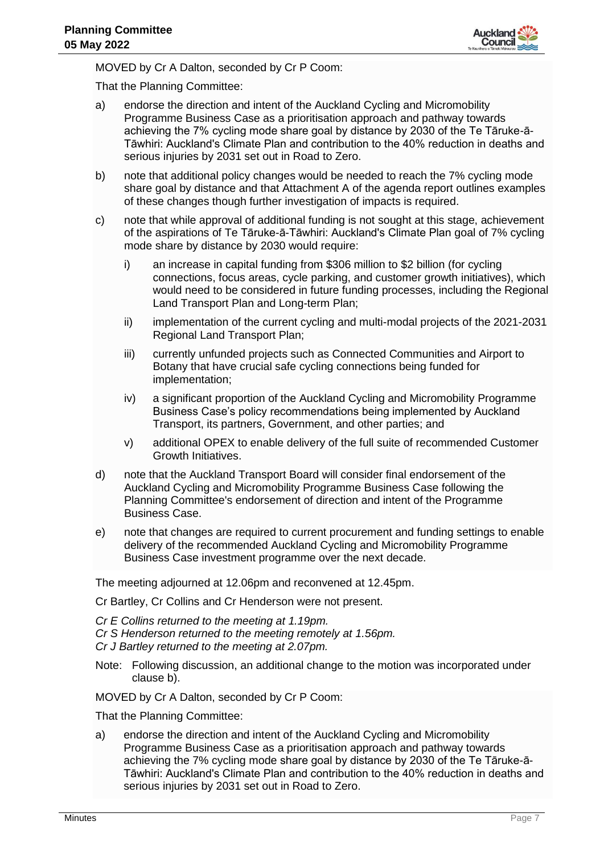

MOVED by Cr A Dalton, seconded by Cr P Coom:

That the Planning Committee:

- a) endorse the direction and intent of the Auckland Cycling and Micromobility Programme Business Case as a prioritisation approach and pathway towards achieving the 7% cycling mode share goal by distance by 2030 of the Te Tāruke-ā-Tāwhiri: Auckland's Climate Plan and contribution to the 40% reduction in deaths and serious injuries by 2031 set out in Road to Zero.
- b) note that additional policy changes would be needed to reach the 7% cycling mode share goal by distance and that Attachment A of the agenda report outlines examples of these changes though further investigation of impacts is required.
- c) note that while approval of additional funding is not sought at this stage, achievement of the aspirations of Te Tāruke-ā-Tāwhiri: Auckland's Climate Plan goal of 7% cycling mode share by distance by 2030 would require:
	- i) an increase in capital funding from \$306 million to \$2 billion (for cycling connections, focus areas, cycle parking, and customer growth initiatives), which would need to be considered in future funding processes, including the Regional Land Transport Plan and Long-term Plan;
	- ii) implementation of the current cycling and multi-modal projects of the 2021-2031 Regional Land Transport Plan;
	- iii) currently unfunded projects such as Connected Communities and Airport to Botany that have crucial safe cycling connections being funded for implementation;
	- iv) a significant proportion of the Auckland Cycling and Micromobility Programme Business Case's policy recommendations being implemented by Auckland Transport, its partners, Government, and other parties; and
	- v) additional OPEX to enable delivery of the full suite of recommended Customer Growth Initiatives.
- d) note that the Auckland Transport Board will consider final endorsement of the Auckland Cycling and Micromobility Programme Business Case following the Planning Committee's endorsement of direction and intent of the Programme Business Case.
- e) note that changes are required to current procurement and funding settings to enable delivery of the recommended Auckland Cycling and Micromobility Programme Business Case investment programme over the next decade.

The meeting adjourned at 12.06pm and reconvened at 12.45pm.

Cr Bartley, Cr Collins and Cr Henderson were not present.

- *Cr E Collins returned to the meeting at 1.19pm.*
- *Cr S Henderson returned to the meeting remotely at 1.56pm.*
- *Cr J Bartley returned to the meeting at 2.07pm.*
- Note: Following discussion, an additional change to the motion was incorporated under clause b).

MOVED by Cr A Dalton, seconded by Cr P Coom:

That the Planning Committee:

a) endorse the direction and intent of the Auckland Cycling and Micromobility Programme Business Case as a prioritisation approach and pathway towards achieving the 7% cycling mode share goal by distance by 2030 of the Te Tāruke-ā-Tāwhiri: Auckland's Climate Plan and contribution to the 40% reduction in deaths and serious injuries by 2031 set out in Road to Zero.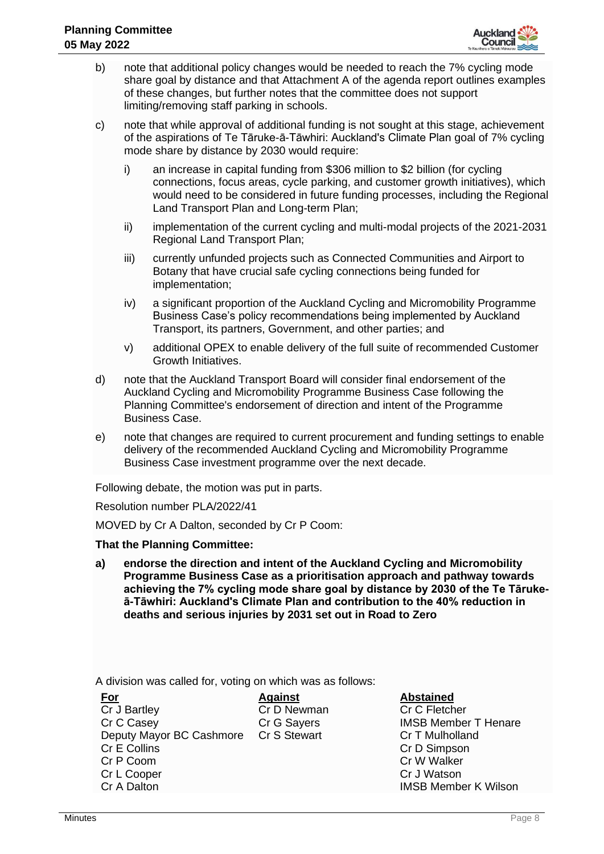

- b) note that additional policy changes would be needed to reach the 7% cycling mode share goal by distance and that Attachment A of the agenda report outlines examples of these changes, but further notes that the committee does not support limiting/removing staff parking in schools.
- c) note that while approval of additional funding is not sought at this stage, achievement of the aspirations of Te Tāruke-ā-Tāwhiri: Auckland's Climate Plan goal of 7% cycling mode share by distance by 2030 would require:
	- i) an increase in capital funding from \$306 million to \$2 billion (for cycling connections, focus areas, cycle parking, and customer growth initiatives), which would need to be considered in future funding processes, including the Regional Land Transport Plan and Long-term Plan;
	- ii) implementation of the current cycling and multi-modal projects of the 2021-2031 Regional Land Transport Plan;
	- iii) currently unfunded projects such as Connected Communities and Airport to Botany that have crucial safe cycling connections being funded for implementation;
	- iv) a significant proportion of the Auckland Cycling and Micromobility Programme Business Case's policy recommendations being implemented by Auckland Transport, its partners, Government, and other parties; and
	- v) additional OPEX to enable delivery of the full suite of recommended Customer Growth Initiatives.
- d) note that the Auckland Transport Board will consider final endorsement of the Auckland Cycling and Micromobility Programme Business Case following the Planning Committee's endorsement of direction and intent of the Programme Business Case.
- e) note that changes are required to current procurement and funding settings to enable delivery of the recommended Auckland Cycling and Micromobility Programme Business Case investment programme over the next decade.

Following debate, the motion was put in parts.

Resolution number PLA/2022/41

MOVED by Cr A Dalton, seconded by Cr P Coom:

#### **That the Planning Committee:**

**a) endorse the direction and intent of the Auckland Cycling and Micromobility Programme Business Case as a prioritisation approach and pathway towards achieving the 7% cycling mode share goal by distance by 2030 of the Te Tārukeā-Tāwhiri: Auckland's Climate Plan and contribution to the 40% reduction in deaths and serious injuries by 2031 set out in Road to Zero**

A division was called for, voting on which was as follows:

| <u>For</u>                            | <b>Against</b> | <b>Abstained</b>            |
|---------------------------------------|----------------|-----------------------------|
| Cr J Bartley                          | Cr D Newman    | Cr C Fletcher               |
| Cr C Casey                            | Cr G Sayers    | <b>IMSB Member T Henare</b> |
| Deputy Mayor BC Cashmore Cr S Stewart |                | Cr T Mulholland             |
| Cr E Collins                          |                | Cr D Simpson                |
| Cr P Coom                             |                | Cr W Walker                 |
| Cr L Cooper                           |                | Cr J Watson                 |
| Cr A Dalton                           |                | <b>IMSB Member K Wilson</b> |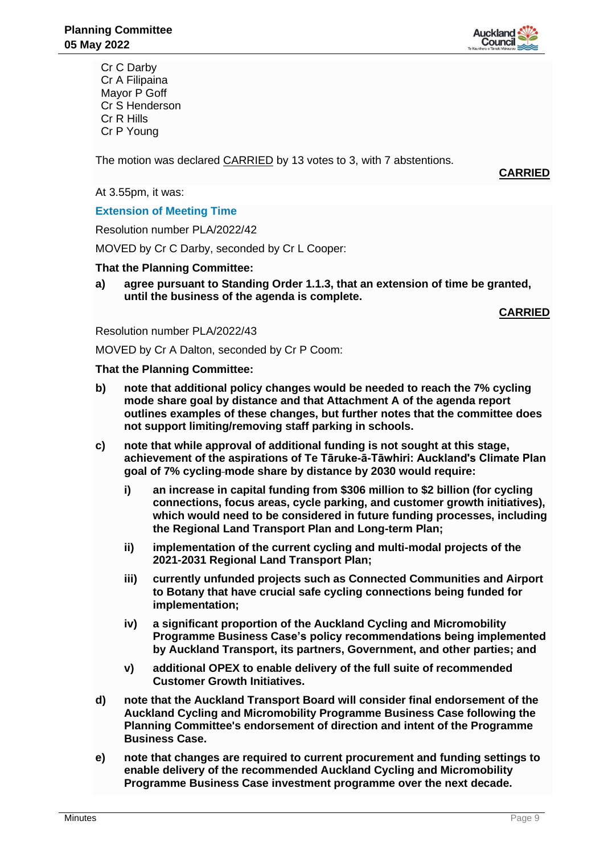

Cr C Darby Cr A Filipaina Mayor P Goff Cr S Henderson Cr R Hills Cr P Young

The motion was declared CARRIED by 13 votes to 3, with 7 abstentions.

**CARRIED**

At 3.55pm, it was:

**Extension of Meeting Time**

Resolution number PLA/2022/42

MOVED by Cr C Darby, seconded by Cr L Cooper:

#### **That the Planning Committee:**

**a) agree pursuant to Standing Order 1.1.3, that an extension of time be granted, until the business of the agenda is complete.**

**CARRIED**

Resolution number PLA/2022/43

MOVED by Cr A Dalton, seconded by Cr P Coom:

**That the Planning Committee:**

- **b) note that additional policy changes would be needed to reach the 7% cycling mode share goal by distance and that Attachment A of the agenda report outlines examples of these changes, but further notes that the committee does not support limiting/removing staff parking in schools.**
- **c) note that while approval of additional funding is not sought at this stage, achievement of the aspirations of Te Tāruke-ā-Tāwhiri: Auckland's Climate Plan goal of 7% cycling mode share by distance by 2030 would require:**
	- **i) an increase in capital funding from \$306 million to \$2 billion (for cycling connections, focus areas, cycle parking, and customer growth initiatives), which would need to be considered in future funding processes, including the Regional Land Transport Plan and Long-term Plan;**
	- **ii) implementation of the current cycling and multi-modal projects of the 2021-2031 Regional Land Transport Plan;**
	- **iii) currently unfunded projects such as Connected Communities and Airport to Botany that have crucial safe cycling connections being funded for implementation;**
	- **iv) a significant proportion of the Auckland Cycling and Micromobility Programme Business Case's policy recommendations being implemented by Auckland Transport, its partners, Government, and other parties; and**
	- **v) additional OPEX to enable delivery of the full suite of recommended Customer Growth Initiatives.**
- **d) note that the Auckland Transport Board will consider final endorsement of the Auckland Cycling and Micromobility Programme Business Case following the Planning Committee's endorsement of direction and intent of the Programme Business Case.**
- **e) note that changes are required to current procurement and funding settings to enable delivery of the recommended Auckland Cycling and Micromobility Programme Business Case investment programme over the next decade.**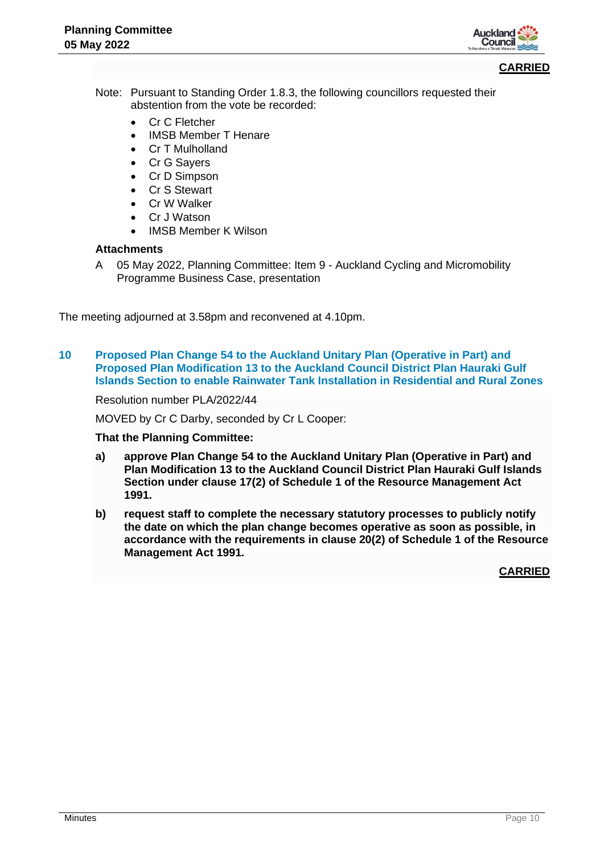

#### **CARRIED**

- Note: Pursuant to Standing Order 1.8.3, the following councillors requested their abstention from the vote be recorded:
	- Cr C Fletcher
	- IMSB Member T Henare
	- Cr T Mulholland
	- Cr G Sayers
	- Cr D Simpson
	- Cr S Stewart
	- Cr W Walker
	- Cr J Watson
	- IMSB Member K Wilson

## **Attachments**

A 05 May 2022, Planning Committee: Item 9 - Auckland Cycling and Micromobility Programme Business Case, presentation

The meeting adjourned at 3.58pm and reconvened at 4.10pm.

**10 Proposed Plan Change 54 to the Auckland Unitary Plan (Operative in Part) and Proposed Plan Modification 13 to the Auckland Council District Plan Hauraki Gulf Islands Section to enable Rainwater Tank Installation in Residential and Rural Zones**

Resolution number PLA/2022/44

MOVED by Cr C Darby, seconded by Cr L Cooper:

#### **That the Planning Committee:**

- **a) approve Plan Change 54 to the Auckland Unitary Plan (Operative in Part) and Plan Modification 13 to the Auckland Council District Plan Hauraki Gulf Islands Section under clause 17(2) of Schedule 1 of the Resource Management Act 1991.**
- **b) request staff to complete the necessary statutory processes to publicly notify the date on which the plan change becomes operative as soon as possible, in accordance with the requirements in clause 20(2) of Schedule 1 of the Resource Management Act 1991.**

**CARRIED**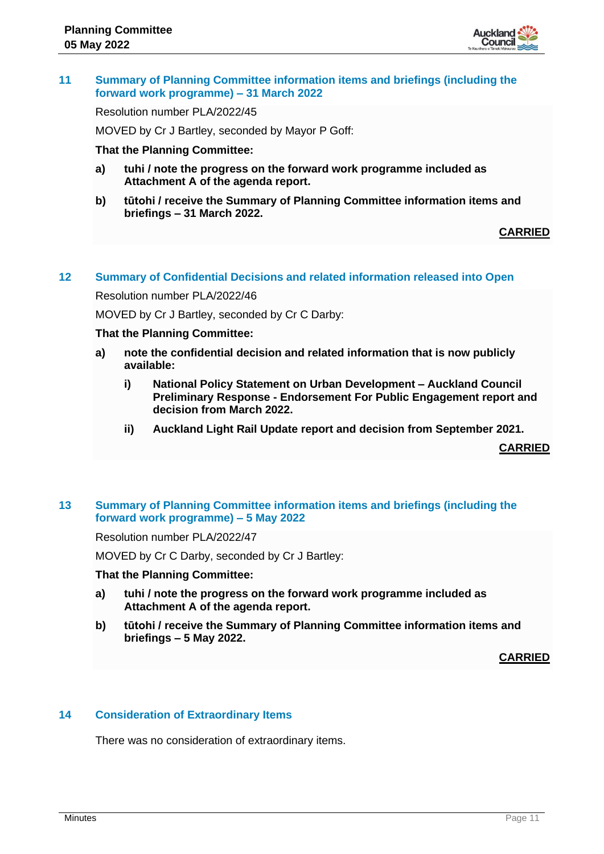

# **11 Summary of Planning Committee information items and briefings (including the forward work programme) – 31 March 2022**

Resolution number PLA/2022/45

MOVED by Cr J Bartley, seconded by Mayor P Goff:

#### **That the Planning Committee:**

- **a) tuhi / note the progress on the forward work programme included as Attachment A of the agenda report.**
- **b) tūtohi / receive the Summary of Planning Committee information items and briefings – 31 March 2022.**

## **CARRIED**

## **12 Summary of Confidential Decisions and related information released into Open**

Resolution number PLA/2022/46

MOVED by Cr J Bartley, seconded by Cr C Darby:

#### **That the Planning Committee:**

- **a) note the confidential decision and related information that is now publicly available:**
	- **i) National Policy Statement on Urban Development – Auckland Council Preliminary Response - Endorsement For Public Engagement report and decision from March 2022.**
	- **ii) Auckland Light Rail Update report and decision from September 2021.**

**CARRIED**

# **13 Summary of Planning Committee information items and briefings (including the forward work programme) – 5 May 2022**

Resolution number PLA/2022/47

MOVED by Cr C Darby, seconded by Cr J Bartley:

#### **That the Planning Committee:**

- **a) tuhi / note the progress on the forward work programme included as Attachment A of the agenda report.**
- **b) tūtohi / receive the Summary of Planning Committee information items and briefings – 5 May 2022.**

**CARRIED**

#### **14 Consideration of Extraordinary Items**

There was no consideration of extraordinary items.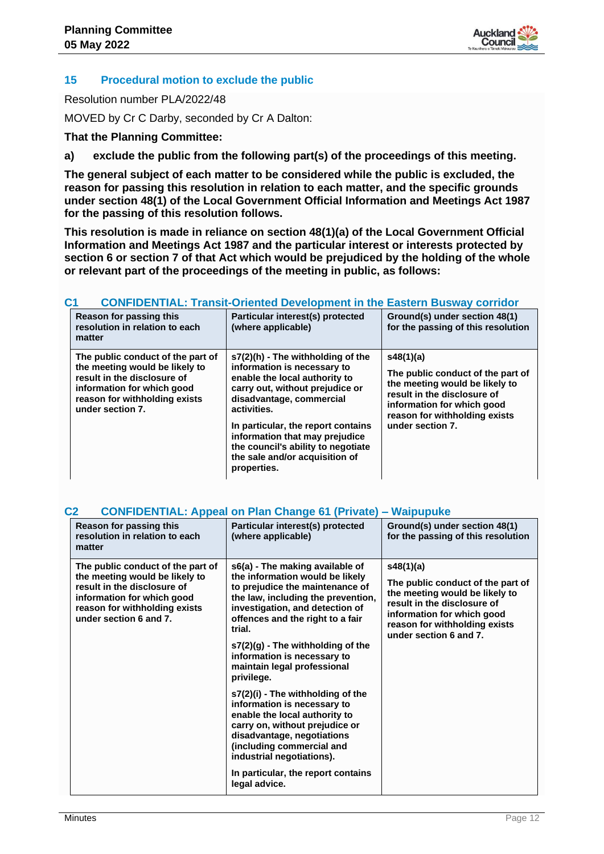

# **15 Procedural motion to exclude the public**

Resolution number PLA/2022/48

MOVED by Cr C Darby, seconded by Cr A Dalton:

# **That the Planning Committee:**

**a) exclude the public from the following part(s) of the proceedings of this meeting.**

**The general subject of each matter to be considered while the public is excluded, the reason for passing this resolution in relation to each matter, and the specific grounds under section 48(1) of the Local Government Official Information and Meetings Act 1987 for the passing of this resolution follows.**

**This resolution is made in reliance on section 48(1)(a) of the Local Government Official Information and Meetings Act 1987 and the particular interest or interests protected by section 6 or section 7 of that Act which would be prejudiced by the holding of the whole or relevant part of the proceedings of the meeting in public, as follows:**

| <b>Reason for passing this</b><br>resolution in relation to each<br>matter                                                                                                            | Particular interest(s) protected<br>(where applicable)                                                                                                                                                                                                                                                                                         | Ground(s) under section 48(1)<br>for the passing of this resolution                                                                                                                                |
|---------------------------------------------------------------------------------------------------------------------------------------------------------------------------------------|------------------------------------------------------------------------------------------------------------------------------------------------------------------------------------------------------------------------------------------------------------------------------------------------------------------------------------------------|----------------------------------------------------------------------------------------------------------------------------------------------------------------------------------------------------|
| The public conduct of the part of<br>the meeting would be likely to<br>result in the disclosure of<br>information for which good<br>reason for withholding exists<br>under section 7. | s7(2)(h) - The withholding of the<br>information is necessary to<br>enable the local authority to<br>carry out, without prejudice or<br>disadvantage, commercial<br>activities.<br>In particular, the report contains<br>information that may prejudice<br>the council's ability to negotiate<br>the sale and/or acquisition of<br>properties. | s48(1)(a)<br>The public conduct of the part of<br>the meeting would be likely to<br>result in the disclosure of<br>information for which good<br>reason for withholding exists<br>under section 7. |

# **C1 CONFIDENTIAL: Transit-Oriented Development in the Eastern Busway corridor**

# **C2 CONFIDENTIAL: Appeal on Plan Change 61 (Private) – Waipupuke**

| Reason for passing this<br>resolution in relation to each<br>matter                                                                                                                         | Particular interest(s) protected<br>(where applicable)                                                                                                                                                                                                                                                                                                                                                                                                                                                                                                                                                                              | Ground(s) under section 48(1)<br>for the passing of this resolution                                                                                                                                      |
|---------------------------------------------------------------------------------------------------------------------------------------------------------------------------------------------|-------------------------------------------------------------------------------------------------------------------------------------------------------------------------------------------------------------------------------------------------------------------------------------------------------------------------------------------------------------------------------------------------------------------------------------------------------------------------------------------------------------------------------------------------------------------------------------------------------------------------------------|----------------------------------------------------------------------------------------------------------------------------------------------------------------------------------------------------------|
| The public conduct of the part of<br>the meeting would be likely to<br>result in the disclosure of<br>information for which good<br>reason for withholding exists<br>under section 6 and 7. | s6(a) - The making available of<br>the information would be likely<br>to prejudice the maintenance of<br>the law, including the prevention,<br>investigation, and detection of<br>offences and the right to a fair<br>trial.<br>s7(2)(g) - The withholding of the<br>information is necessary to<br>maintain legal professional<br>privilege.<br>s7(2)(i) - The withholding of the<br>information is necessary to<br>enable the local authority to<br>carry on, without prejudice or<br>disadvantage, negotiations<br>(including commercial and<br>industrial negotiations).<br>In particular, the report contains<br>legal advice. | s48(1)(a)<br>The public conduct of the part of<br>the meeting would be likely to<br>result in the disclosure of<br>information for which good<br>reason for withholding exists<br>under section 6 and 7. |